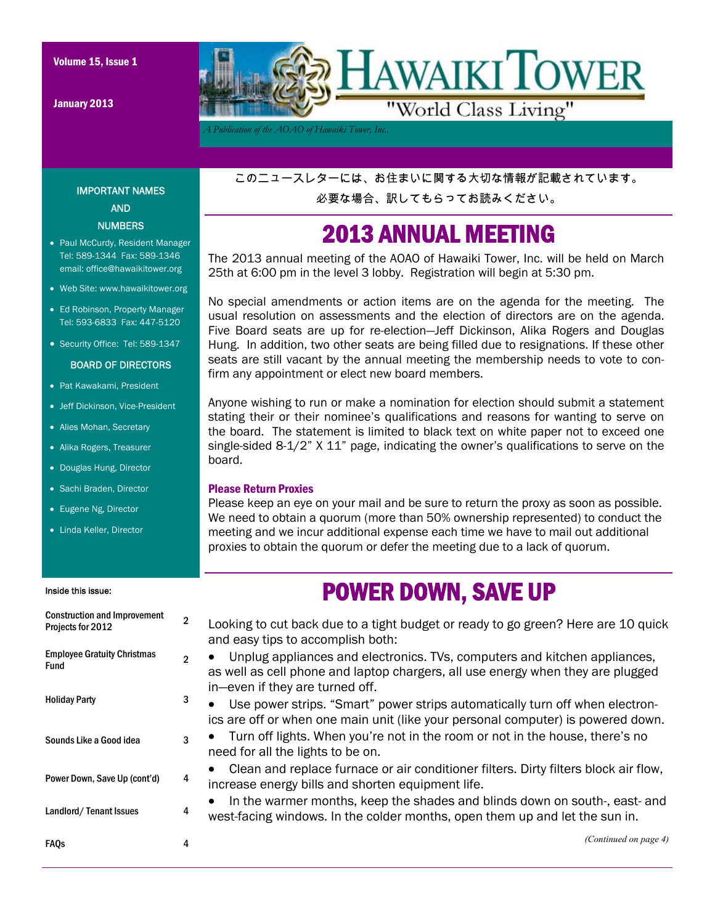January 2013



*A Publication of the AOAO of Hawaiki Tower, Inc..* 

このニュースレターには、お住まいに関する大切な情報が記載されています。 必要な場合、訳してもらってお読みください。

### 2013 ANNUAL MEETING

The 2013 annual meeting of the AOAO of Hawaiki Tower, Inc. will be held on March 25th at 6:00 pm in the level 3 lobby. Registration will begin at 5:30 pm.

No special amendments or action items are on the agenda for the meeting. The usual resolution on assessments and the election of directors are on the agenda. Five Board seats are up for re-election—Jeff Dickinson, Alika Rogers and Douglas Hung. In addition, two other seats are being filled due to resignations. If these other seats are still vacant by the annual meeting the membership needs to vote to confirm any appointment or elect new board members.

Anyone wishing to run or make a nomination for election should submit a statement stating their or their nominee's qualifications and reasons for wanting to serve on the board. The statement is limited to black text on white paper not to exceed one single-sided 8-1/2" X 11" page, indicating the owner's qualifications to serve on the board.

#### Please Return Proxies

Please keep an eye on your mail and be sure to return the proxy as soon as possible. We need to obtain a quorum (more than 50% ownership represented) to conduct the meeting and we incur additional expense each time we have to mail out additional proxies to obtain the quorum or defer the meeting due to a lack of quorum.

### POWER DOWN, SAVE UP

| Consulaçãon ana improvement<br>Projects for 2012 | $\mathbf{2}$   | Looking to cut back due to a tight budget or ready to go green? Here are 10 quick<br>and easy tips to accomplish both:                                                                                       |
|--------------------------------------------------|----------------|--------------------------------------------------------------------------------------------------------------------------------------------------------------------------------------------------------------|
| <b>Employee Gratuity Christmas</b><br>Fund       | $\mathfrak{p}$ | Unplug appliances and electronics. TVs, computers and kitchen appliances,<br>$\bullet$<br>as well as cell phone and laptop chargers, all use energy when they are plugged<br>in-even if they are turned off. |
| <b>Holiday Party</b>                             | 3              | Use power strips. "Smart" power strips automatically turn off when electron-<br>$\bullet$<br>ics are off or when one main unit (like your personal computer) is powered down.                                |
| Sounds Like a Good idea                          | 3              | Turn off lights. When you're not in the room or not in the house, there's no<br>need for all the lights to be on.                                                                                            |
| Power Down, Save Up (cont'd)                     | 4              | Clean and replace furnace or air conditioner filters. Dirty filters block air flow,<br>increase energy bills and shorten equipment life.                                                                     |
| Landlord/Tenant Issues                           | 4              | In the warmer months, keep the shades and blinds down on south-, east- and<br>west-facing windows. In the colder months, open them up and let the sun in.                                                    |
| <b>FAQs</b>                                      | 4              | (Continued on page 4)                                                                                                                                                                                        |

#### AND **NUMBERS**

- Paul McCurdy, Resident Manager Tel: 589-1344 Fax: 589-1346 email: office@hawaikitower.org
- Web Site: www.hawaikitower.org
- Ed Robinson, Property Manager Tel: 593-6833 Fax: 447-5120
- Security Office: Tel: 589-1347

#### BOARD OF DIRECTORS

- Pat Kawakami, President
- Jeff Dickinson, Vice-President
- Alies Mohan, Secretary
- Alika Rogers, Treasurer
- Douglas Hung, Director
- Sachi Braden, Director
- Eugene Ng, Director
- Linda Keller, Director

Construction and Improvement

#### Inside this issue:

# IMPORTANT NAMES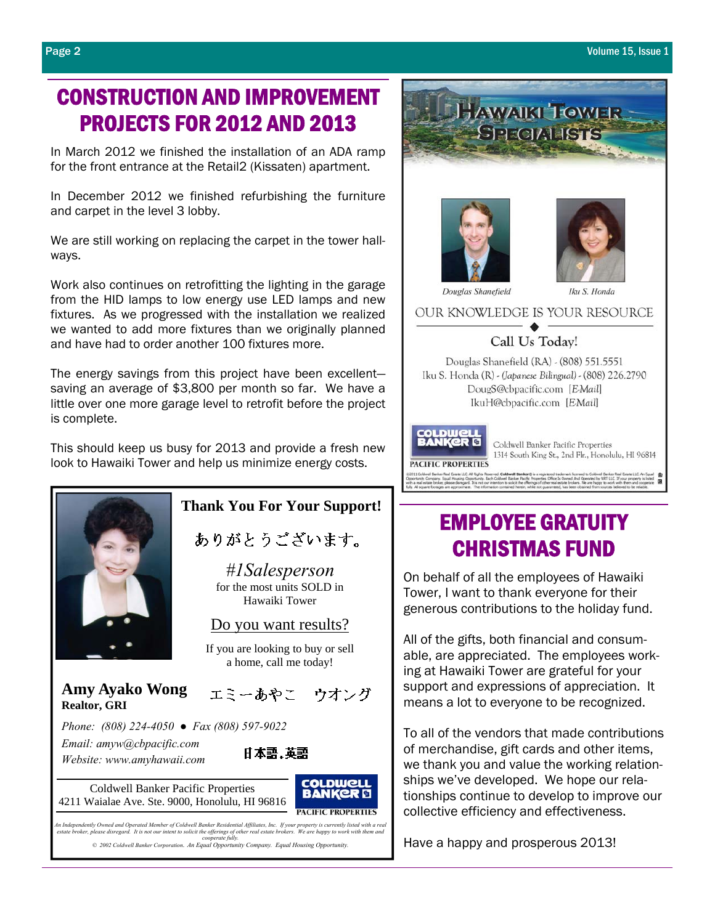### CONSTRUCTION AND IMPROVEMENT PROJECTS FOR 2012 AND 2013

In March 2012 we finished the installation of an ADA ramp for the front entrance at the Retail2 (Kissaten) apartment.

In December 2012 we finished refurbishing the furniture and carpet in the level 3 lobby.

We are still working on replacing the carpet in the tower hallways.

Work also continues on retrofitting the lighting in the garage from the HID lamps to low energy use LED lamps and new fixtures. As we progressed with the installation we realized we wanted to add more fixtures than we originally planned and have had to order another 100 fixtures more.

The energy savings from this project have been excellent saving an average of \$3,800 per month so far. We have a little over one more garage level to retrofit before the project is complete.

This should keep us busy for 2013 and provide a fresh new look to Hawaiki Tower and help us minimize energy costs.



ありがとうございます。

*#1Salesperson*  for the most units SOLD in Hawaiki Tower

#### Do you want results?

If you are looking to buy or sell a home, call me today!

 **Amy Ayako Wong Realtor, GRI**

エミーあやこ ウオング

 *Phone: (808) 224-4050 ● Fax (808) 597-9022 Email: amyw@cbpacific.com Website: www.amyhawaii.com*

Coldwell Banker Pacific Properties







An Independently Owned and Operated Member of Coldwell Banker Residential Affiliates, Inc. If your property is currently listed with a real<br>estate broker, please disregard. It is not our intent to solicit the offerings of

*© 2002 Coldwell Banker Corporation*. *An Equal Opportunity Company. Equal Housing Opportunity.* 







Iku S. Honda

Douglas Shanefield

OUR KNOWLEDGE IS YOUR RESOURCE

Call Us Today!

Douglas Shanefield (RA) - (808) 551.5551 Iku S. Honda (R) - (Japanese Bilingual) - (808) 226.2790 DougS@cbpacific.com [EMail] IkuH@cbpacific.com [EMail]



Coldwell Banker Pacific Properties 1314 South King St., 2nd Flr., Honolulu, HI 96814

### EMPLOYEE GRATUITY CHRISTMAS FUND

On behalf of all the employees of Hawaiki Tower, I want to thank everyone for their generous contributions to the holiday fund.

All of the gifts, both financial and consumable, are appreciated. The employees working at Hawaiki Tower are grateful for your support and expressions of appreciation. It means a lot to everyone to be recognized.

To all of the vendors that made contributions of merchandise, gift cards and other items, we thank you and value the working relationships we've developed. We hope our relationships continue to develop to improve our collective efficiency and effectiveness.

Have a happy and prosperous 2013!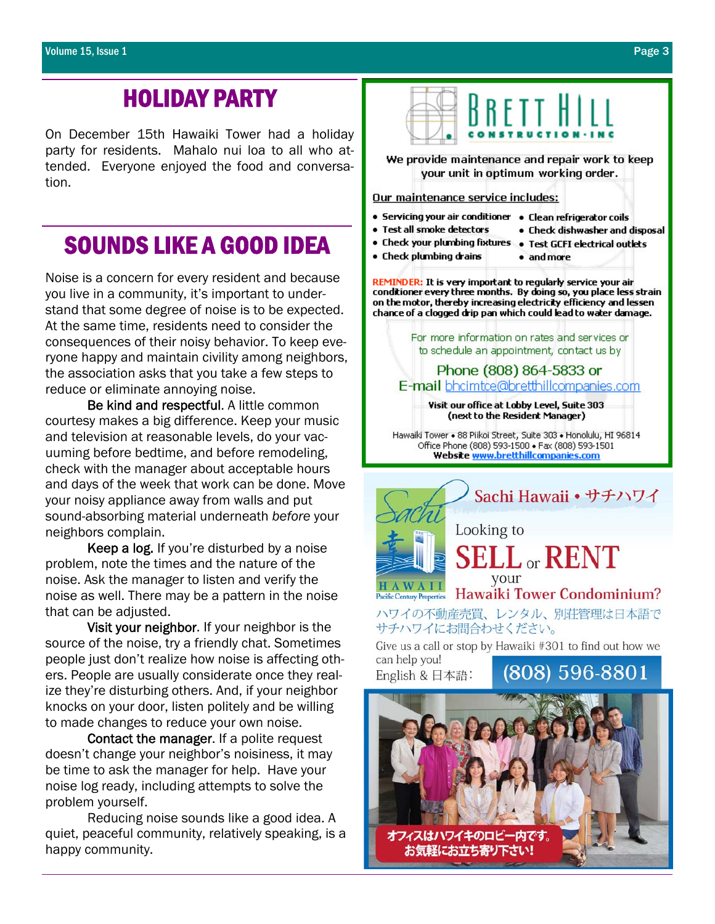### HOLIDAY PARTY

On December 15th Hawaiki Tower had a holiday party for residents. Mahalo nui loa to all who attended. Everyone enjoyed the food and conversation.

### SOUNDS LIKE A GOOD IDEA

Noise is a concern for every resident and because you live in a community, it's important to understand that some degree of noise is to be expected. At the same time, residents need to consider the consequences of their noisy behavior. To keep everyone happy and maintain civility among neighbors, the association asks that you take a few steps to reduce or eliminate annoying noise.

Be kind and respectful. A little common courtesy makes a big difference. Keep your music and television at reasonable levels, do your vacuuming before bedtime, and before remodeling, check with the manager about acceptable hours and days of the week that work can be done. Move your noisy appliance away from walls and put sound-absorbing material underneath *before* your neighbors complain.

Keep a log. If you're disturbed by a noise problem, note the times and the nature of the noise. Ask the manager to listen and verify the noise as well. There may be a pattern in the noise that can be adjusted.

Visit your neighbor. If your neighbor is the source of the noise, try a friendly chat. Sometimes people just don't realize how noise is affecting others. People are usually considerate once they realize they're disturbing others. And, if your neighbor knocks on your door, listen politely and be willing to made changes to reduce your own noise.

Contact the manager. If a polite request doesn't change your neighbor's noisiness, it may be time to ask the manager for help. Have your noise log ready, including attempts to solve the problem yourself.

 Reducing noise sounds like a good idea. A quiet, peaceful community, relatively speaking, is a happy community.



We provide maintenance and repair work to keep your unit in optimum working order.

#### Our maintenance service includes:

- Servicing your air conditioner Clean refrigerator coils
- · Test all smoke detectors
	-
- . Check dishwasher and disposal
- . Check your plumbing fixtures . Test GCFI electrical outlets
	-
- . Check plumbing drains · and more

REMINDER: It is very important to regularly service your air conditioner every three months. By doing so, you place less strain on the motor, thereby increasing electricity efficiency and lessen chance of a clogged drip pan which could lead to water damage.

> For more information on rates and services or to schedule an appointment, contact us by

Phone (808) 864-5833 or E-mail bhcimtce@bretthillcompanies.com

Visit our office at Lobby Level, Suite 303 (next to the Resident Manager)

Hawaiki Tower . 88 Piikoi Street, Suite 303 . Honolulu, HI 96814 Office Phone (808) 593-1500 . Fax (808) 593-1501 Website www.bretthillcompanies.com